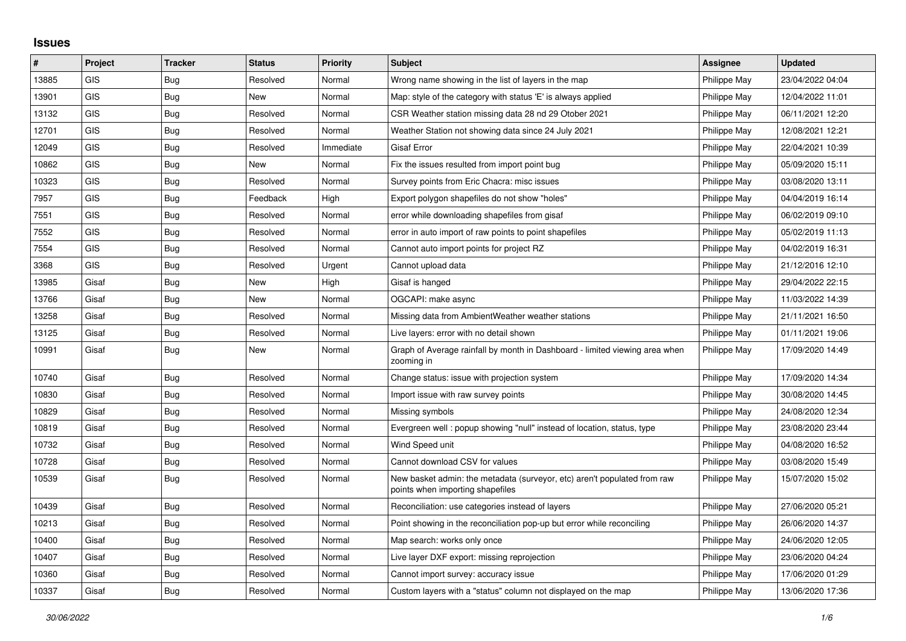## **Issues**

| ∦     | Project    | <b>Tracker</b> | <b>Status</b> | <b>Priority</b> | <b>Subject</b>                                                                                               | Assignee     | <b>Updated</b>   |
|-------|------------|----------------|---------------|-----------------|--------------------------------------------------------------------------------------------------------------|--------------|------------------|
| 13885 | GIS        | Bug            | Resolved      | Normal          | Wrong name showing in the list of layers in the map                                                          | Philippe May | 23/04/2022 04:04 |
| 13901 | <b>GIS</b> | Bug            | New           | Normal          | Map: style of the category with status 'E' is always applied                                                 | Philippe May | 12/04/2022 11:01 |
| 13132 | GIS        | Bug            | Resolved      | Normal          | CSR Weather station missing data 28 nd 29 Otober 2021                                                        | Philippe May | 06/11/2021 12:20 |
| 12701 | <b>GIS</b> | Bug            | Resolved      | Normal          | Weather Station not showing data since 24 July 2021                                                          | Philippe May | 12/08/2021 12:21 |
| 12049 | <b>GIS</b> | Bug            | Resolved      | Immediate       | <b>Gisaf Error</b>                                                                                           | Philippe May | 22/04/2021 10:39 |
| 10862 | <b>GIS</b> | Bug            | New           | Normal          | Fix the issues resulted from import point bug                                                                | Philippe May | 05/09/2020 15:11 |
| 10323 | GIS        | Bug            | Resolved      | Normal          | Survey points from Eric Chacra: misc issues                                                                  | Philippe May | 03/08/2020 13:11 |
| 7957  | <b>GIS</b> | Bug            | Feedback      | High            | Export polygon shapefiles do not show "holes"                                                                | Philippe May | 04/04/2019 16:14 |
| 7551  | GIS        | Bug            | Resolved      | Normal          | error while downloading shapefiles from gisaf                                                                | Philippe May | 06/02/2019 09:10 |
| 7552  | <b>GIS</b> | Bug            | Resolved      | Normal          | error in auto import of raw points to point shapefiles                                                       | Philippe May | 05/02/2019 11:13 |
| 7554  | <b>GIS</b> | <b>Bug</b>     | Resolved      | Normal          | Cannot auto import points for project RZ                                                                     | Philippe May | 04/02/2019 16:31 |
| 3368  | <b>GIS</b> | Bug            | Resolved      | Urgent          | Cannot upload data                                                                                           | Philippe May | 21/12/2016 12:10 |
| 13985 | Gisaf      | <b>Bug</b>     | New           | High            | Gisaf is hanged                                                                                              | Philippe May | 29/04/2022 22:15 |
| 13766 | Gisaf      | Bug            | <b>New</b>    | Normal          | OGCAPI: make async                                                                                           | Philippe May | 11/03/2022 14:39 |
| 13258 | Gisaf      | Bug            | Resolved      | Normal          | Missing data from AmbientWeather weather stations                                                            | Philippe May | 21/11/2021 16:50 |
| 13125 | Gisaf      | Bug            | Resolved      | Normal          | Live layers: error with no detail shown                                                                      | Philippe May | 01/11/2021 19:06 |
| 10991 | Gisaf      | <b>Bug</b>     | <b>New</b>    | Normal          | Graph of Average rainfall by month in Dashboard - limited viewing area when<br>zooming in                    | Philippe May | 17/09/2020 14:49 |
| 10740 | Gisaf      | Bug            | Resolved      | Normal          | Change status: issue with projection system                                                                  | Philippe May | 17/09/2020 14:34 |
| 10830 | Gisaf      | <b>Bug</b>     | Resolved      | Normal          | Import issue with raw survey points                                                                          | Philippe May | 30/08/2020 14:45 |
| 10829 | Gisaf      | Bug            | Resolved      | Normal          | Missing symbols                                                                                              | Philippe May | 24/08/2020 12:34 |
| 10819 | Gisaf      | <b>Bug</b>     | Resolved      | Normal          | Evergreen well: popup showing "null" instead of location, status, type                                       | Philippe May | 23/08/2020 23:44 |
| 10732 | Gisaf      | <b>Bug</b>     | Resolved      | Normal          | Wind Speed unit                                                                                              | Philippe May | 04/08/2020 16:52 |
| 10728 | Gisaf      | Bug            | Resolved      | Normal          | Cannot download CSV for values                                                                               | Philippe May | 03/08/2020 15:49 |
| 10539 | Gisaf      | Bug            | Resolved      | Normal          | New basket admin: the metadata (surveyor, etc) aren't populated from raw<br>points when importing shapefiles | Philippe May | 15/07/2020 15:02 |
| 10439 | Gisaf      | <b>Bug</b>     | Resolved      | Normal          | Reconciliation: use categories instead of layers                                                             | Philippe May | 27/06/2020 05:21 |
| 10213 | Gisaf      | Bug            | Resolved      | Normal          | Point showing in the reconciliation pop-up but error while reconciling                                       | Philippe May | 26/06/2020 14:37 |
| 10400 | Gisaf      | Bug            | Resolved      | Normal          | Map search: works only once                                                                                  | Philippe May | 24/06/2020 12:05 |
| 10407 | Gisaf      | <b>Bug</b>     | Resolved      | Normal          | Live layer DXF export: missing reprojection                                                                  | Philippe May | 23/06/2020 04:24 |
| 10360 | Gisaf      | <b>Bug</b>     | Resolved      | Normal          | Cannot import survey: accuracy issue                                                                         | Philippe May | 17/06/2020 01:29 |
| 10337 | Gisaf      | Bug            | Resolved      | Normal          | Custom layers with a "status" column not displayed on the map                                                | Philippe May | 13/06/2020 17:36 |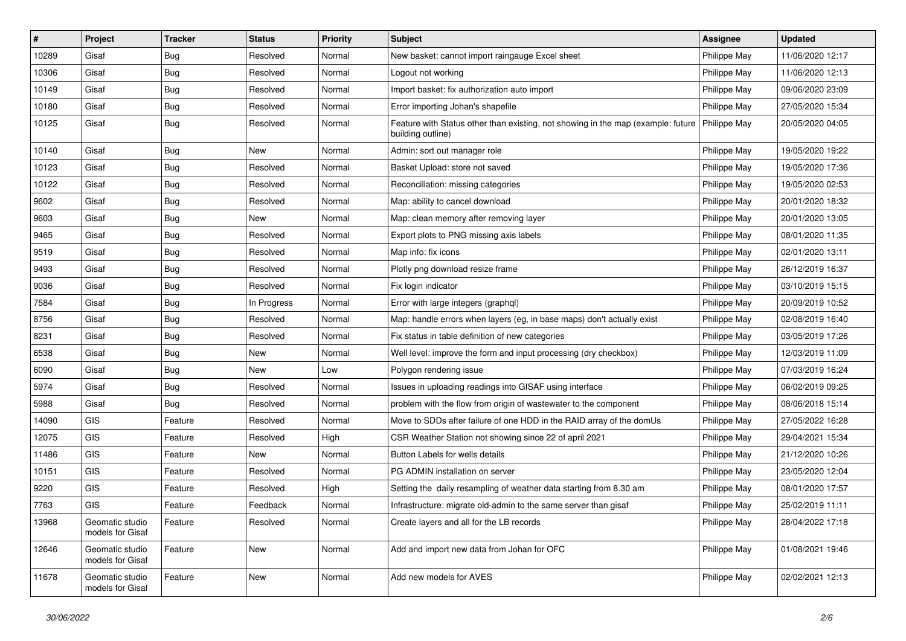| #     | Project                             | <b>Tracker</b> | <b>Status</b> | <b>Priority</b> | <b>Subject</b>                                                                                                       | <b>Assignee</b> | <b>Updated</b>   |
|-------|-------------------------------------|----------------|---------------|-----------------|----------------------------------------------------------------------------------------------------------------------|-----------------|------------------|
| 10289 | Gisaf                               | Bug            | Resolved      | Normal          | New basket: cannot import raingauge Excel sheet                                                                      | Philippe May    | 11/06/2020 12:17 |
| 10306 | Gisaf                               | Bug            | Resolved      | Normal          | Logout not working                                                                                                   | Philippe May    | 11/06/2020 12:13 |
| 10149 | Gisaf                               | <b>Bug</b>     | Resolved      | Normal          | Import basket: fix authorization auto import                                                                         | Philippe May    | 09/06/2020 23:09 |
| 10180 | Gisaf                               | <b>Bug</b>     | Resolved      | Normal          | Error importing Johan's shapefile                                                                                    | Philippe May    | 27/05/2020 15:34 |
| 10125 | Gisaf                               | Bug            | Resolved      | Normal          | Feature with Status other than existing, not showing in the map (example: future   Philippe May<br>building outline) |                 | 20/05/2020 04:05 |
| 10140 | Gisaf                               | Bug            | New           | Normal          | Admin: sort out manager role                                                                                         | Philippe May    | 19/05/2020 19:22 |
| 10123 | Gisaf                               | Bug            | Resolved      | Normal          | Basket Upload: store not saved                                                                                       | Philippe May    | 19/05/2020 17:36 |
| 10122 | Gisaf                               | <b>Bug</b>     | Resolved      | Normal          | Reconciliation: missing categories                                                                                   | Philippe May    | 19/05/2020 02:53 |
| 9602  | Gisaf                               | <b>Bug</b>     | Resolved      | Normal          | Map: ability to cancel download                                                                                      | Philippe May    | 20/01/2020 18:32 |
| 9603  | Gisaf                               | Bug            | <b>New</b>    | Normal          | Map: clean memory after removing layer                                                                               | Philippe May    | 20/01/2020 13:05 |
| 9465  | Gisaf                               | <b>Bug</b>     | Resolved      | Normal          | Export plots to PNG missing axis labels                                                                              | Philippe May    | 08/01/2020 11:35 |
| 9519  | Gisaf                               | <b>Bug</b>     | Resolved      | Normal          | Map info: fix icons                                                                                                  | Philippe May    | 02/01/2020 13:11 |
| 9493  | Gisaf                               | <b>Bug</b>     | Resolved      | Normal          | Plotly png download resize frame                                                                                     | Philippe May    | 26/12/2019 16:37 |
| 9036  | Gisaf                               | <b>Bug</b>     | Resolved      | Normal          | Fix login indicator                                                                                                  | Philippe May    | 03/10/2019 15:15 |
| 7584  | Gisaf                               | Bug            | In Progress   | Normal          | Error with large integers (graphgl)                                                                                  | Philippe May    | 20/09/2019 10:52 |
| 8756  | Gisaf                               | <b>Bug</b>     | Resolved      | Normal          | Map: handle errors when layers (eg, in base maps) don't actually exist                                               | Philippe May    | 02/08/2019 16:40 |
| 8231  | Gisaf                               | Bug            | Resolved      | Normal          | Fix status in table definition of new categories                                                                     | Philippe May    | 03/05/2019 17:26 |
| 6538  | Gisaf                               | <b>Bug</b>     | New           | Normal          | Well level: improve the form and input processing (dry checkbox)                                                     | Philippe May    | 12/03/2019 11:09 |
| 6090  | Gisaf                               | Bug            | New           | Low             | Polygon rendering issue                                                                                              | Philippe May    | 07/03/2019 16:24 |
| 5974  | Gisaf                               | <b>Bug</b>     | Resolved      | Normal          | Issues in uploading readings into GISAF using interface                                                              | Philippe May    | 06/02/2019 09:25 |
| 5988  | Gisaf                               | <b>Bug</b>     | Resolved      | Normal          | problem with the flow from origin of wastewater to the component                                                     | Philippe May    | 08/06/2018 15:14 |
| 14090 | GIS                                 | Feature        | Resolved      | Normal          | Move to SDDs after failure of one HDD in the RAID array of the domUs                                                 | Philippe May    | 27/05/2022 16:28 |
| 12075 | <b>GIS</b>                          | Feature        | Resolved      | High            | CSR Weather Station not showing since 22 of april 2021                                                               | Philippe May    | 29/04/2021 15:34 |
| 11486 | GIS                                 | Feature        | New           | Normal          | Button Labels for wells details                                                                                      | Philippe May    | 21/12/2020 10:26 |
| 10151 | GIS                                 | Feature        | Resolved      | Normal          | PG ADMIN installation on server                                                                                      | Philippe May    | 23/05/2020 12:04 |
| 9220  | GIS                                 | Feature        | Resolved      | High            | Setting the daily resampling of weather data starting from 8.30 am                                                   | Philippe May    | 08/01/2020 17:57 |
| 7763  | GIS                                 | Feature        | Feedback      | Normal          | Infrastructure: migrate old-admin to the same server than gisaf                                                      | Philippe May    | 25/02/2019 11:11 |
| 13968 | Geomatic studio<br>models for Gisaf | Feature        | Resolved      | Normal          | Create layers and all for the LB records                                                                             | Philippe May    | 28/04/2022 17:18 |
| 12646 | Geomatic studio<br>models for Gisaf | Feature        | New           | Normal          | Add and import new data from Johan for OFC                                                                           | Philippe May    | 01/08/2021 19:46 |
| 11678 | Geomatic studio<br>models for Gisaf | Feature        | New           | Normal          | Add new models for AVES                                                                                              | Philippe May    | 02/02/2021 12:13 |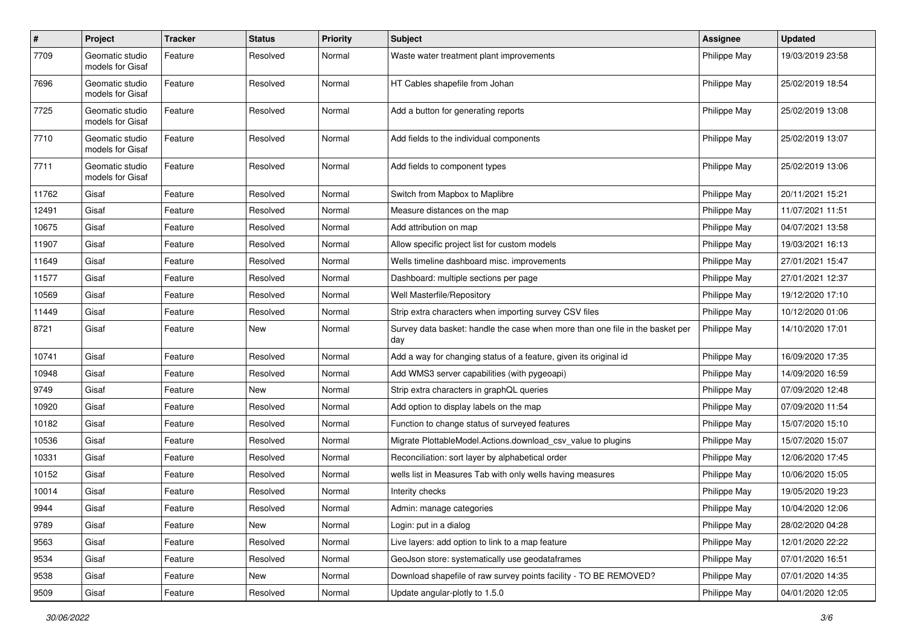| $\pmb{\#}$ | Project                             | <b>Tracker</b> | <b>Status</b> | <b>Priority</b> | <b>Subject</b>                                                                       | <b>Assignee</b> | <b>Updated</b>   |
|------------|-------------------------------------|----------------|---------------|-----------------|--------------------------------------------------------------------------------------|-----------------|------------------|
| 7709       | Geomatic studio<br>models for Gisaf | Feature        | Resolved      | Normal          | Waste water treatment plant improvements                                             | Philippe May    | 19/03/2019 23:58 |
| 7696       | Geomatic studio<br>models for Gisaf | Feature        | Resolved      | Normal          | HT Cables shapefile from Johan                                                       | Philippe May    | 25/02/2019 18:54 |
| 7725       | Geomatic studio<br>models for Gisaf | Feature        | Resolved      | Normal          | Add a button for generating reports                                                  | Philippe May    | 25/02/2019 13:08 |
| 7710       | Geomatic studio<br>models for Gisaf | Feature        | Resolved      | Normal          | Add fields to the individual components                                              | Philippe May    | 25/02/2019 13:07 |
| 7711       | Geomatic studio<br>models for Gisaf | Feature        | Resolved      | Normal          | Add fields to component types                                                        | Philippe May    | 25/02/2019 13:06 |
| 11762      | Gisaf                               | Feature        | Resolved      | Normal          | Switch from Mapbox to Maplibre                                                       | Philippe May    | 20/11/2021 15:21 |
| 12491      | Gisaf                               | Feature        | Resolved      | Normal          | Measure distances on the map                                                         | Philippe May    | 11/07/2021 11:51 |
| 10675      | Gisaf                               | Feature        | Resolved      | Normal          | Add attribution on map                                                               | Philippe May    | 04/07/2021 13:58 |
| 11907      | Gisaf                               | Feature        | Resolved      | Normal          | Allow specific project list for custom models                                        | Philippe May    | 19/03/2021 16:13 |
| 11649      | Gisaf                               | Feature        | Resolved      | Normal          | Wells timeline dashboard misc. improvements                                          | Philippe May    | 27/01/2021 15:47 |
| 11577      | Gisaf                               | Feature        | Resolved      | Normal          | Dashboard: multiple sections per page                                                | Philippe May    | 27/01/2021 12:37 |
| 10569      | Gisaf                               | Feature        | Resolved      | Normal          | Well Masterfile/Repository                                                           | Philippe May    | 19/12/2020 17:10 |
| 11449      | Gisaf                               | Feature        | Resolved      | Normal          | Strip extra characters when importing survey CSV files                               | Philippe May    | 10/12/2020 01:06 |
| 8721       | Gisaf                               | Feature        | New           | Normal          | Survey data basket: handle the case when more than one file in the basket per<br>day | Philippe May    | 14/10/2020 17:01 |
| 10741      | Gisaf                               | Feature        | Resolved      | Normal          | Add a way for changing status of a feature, given its original id                    | Philippe May    | 16/09/2020 17:35 |
| 10948      | Gisaf                               | Feature        | Resolved      | Normal          | Add WMS3 server capabilities (with pygeoapi)                                         | Philippe May    | 14/09/2020 16:59 |
| 9749       | Gisaf                               | Feature        | New           | Normal          | Strip extra characters in graphQL queries                                            | Philippe May    | 07/09/2020 12:48 |
| 10920      | Gisaf                               | Feature        | Resolved      | Normal          | Add option to display labels on the map                                              | Philippe May    | 07/09/2020 11:54 |
| 10182      | Gisaf                               | Feature        | Resolved      | Normal          | Function to change status of surveyed features                                       | Philippe May    | 15/07/2020 15:10 |
| 10536      | Gisaf                               | Feature        | Resolved      | Normal          | Migrate PlottableModel.Actions.download_csv_value to plugins                         | Philippe May    | 15/07/2020 15:07 |
| 10331      | Gisaf                               | Feature        | Resolved      | Normal          | Reconciliation: sort layer by alphabetical order                                     | Philippe May    | 12/06/2020 17:45 |
| 10152      | Gisaf                               | Feature        | Resolved      | Normal          | wells list in Measures Tab with only wells having measures                           | Philippe May    | 10/06/2020 15:05 |
| 10014      | Gisaf                               | Feature        | Resolved      | Normal          | Interity checks                                                                      | Philippe May    | 19/05/2020 19:23 |
| 9944       | Gisaf                               | Feature        | Resolved      | Normal          | Admin: manage categories                                                             | Philippe May    | 10/04/2020 12:06 |
| 9789       | Gisaf                               | Feature        | New           | Normal          | Login: put in a dialog                                                               | Philippe May    | 28/02/2020 04:28 |
| 9563       | Gisaf                               | Feature        | Resolved      | Normal          | Live layers: add option to link to a map feature                                     | Philippe May    | 12/01/2020 22:22 |
| 9534       | Gisaf                               | Feature        | Resolved      | Normal          | GeoJson store: systematically use geodataframes                                      | Philippe May    | 07/01/2020 16:51 |
| 9538       | Gisaf                               | Feature        | New           | Normal          | Download shapefile of raw survey points facility - TO BE REMOVED?                    | Philippe May    | 07/01/2020 14:35 |
| 9509       | Gisaf                               | Feature        | Resolved      | Normal          | Update angular-plotly to 1.5.0                                                       | Philippe May    | 04/01/2020 12:05 |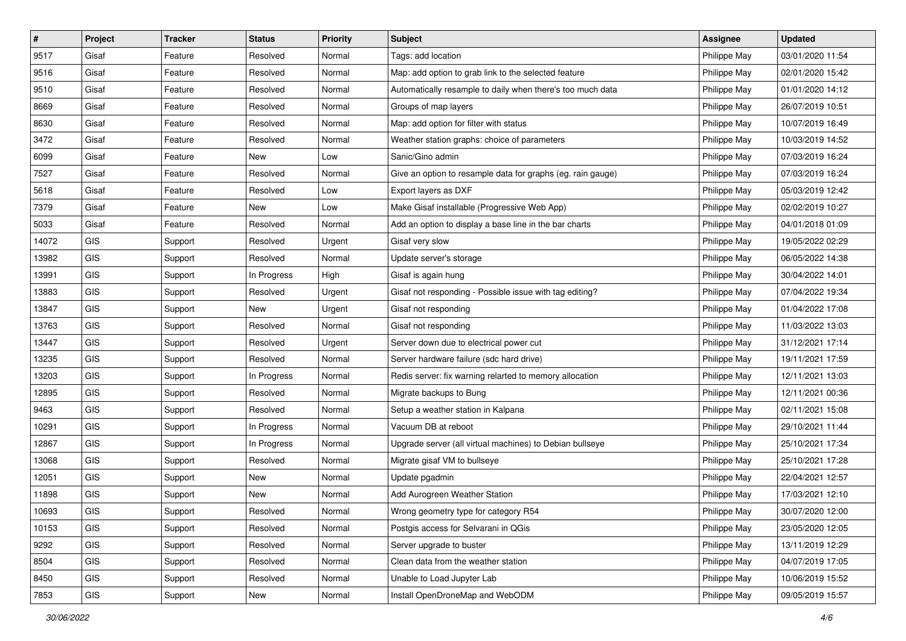| $\vert$ # | Project    | <b>Tracker</b> | <b>Status</b> | <b>Priority</b> | Subject                                                     | <b>Assignee</b> | <b>Updated</b>   |
|-----------|------------|----------------|---------------|-----------------|-------------------------------------------------------------|-----------------|------------------|
| 9517      | Gisaf      | Feature        | Resolved      | Normal          | Tags: add location                                          | Philippe May    | 03/01/2020 11:54 |
| 9516      | Gisaf      | Feature        | Resolved      | Normal          | Map: add option to grab link to the selected feature        | Philippe May    | 02/01/2020 15:42 |
| 9510      | Gisaf      | Feature        | Resolved      | Normal          | Automatically resample to daily when there's too much data  | Philippe May    | 01/01/2020 14:12 |
| 8669      | Gisaf      | Feature        | Resolved      | Normal          | Groups of map layers                                        | Philippe May    | 26/07/2019 10:51 |
| 8630      | Gisaf      | Feature        | Resolved      | Normal          | Map: add option for filter with status                      | Philippe May    | 10/07/2019 16:49 |
| 3472      | Gisaf      | Feature        | Resolved      | Normal          | Weather station graphs: choice of parameters                | Philippe May    | 10/03/2019 14:52 |
| 6099      | Gisaf      | Feature        | New           | Low             | Sanic/Gino admin                                            | Philippe May    | 07/03/2019 16:24 |
| 7527      | Gisaf      | Feature        | Resolved      | Normal          | Give an option to resample data for graphs (eg. rain gauge) | Philippe May    | 07/03/2019 16:24 |
| 5618      | Gisaf      | Feature        | Resolved      | Low             | Export layers as DXF                                        | Philippe May    | 05/03/2019 12:42 |
| 7379      | Gisaf      | Feature        | New           | Low             | Make Gisaf installable (Progressive Web App)                | Philippe May    | 02/02/2019 10:27 |
| 5033      | Gisaf      | Feature        | Resolved      | Normal          | Add an option to display a base line in the bar charts      | Philippe May    | 04/01/2018 01:09 |
| 14072     | GIS        | Support        | Resolved      | Urgent          | Gisaf very slow                                             | Philippe May    | 19/05/2022 02:29 |
| 13982     | GIS        | Support        | Resolved      | Normal          | Update server's storage                                     | Philippe May    | 06/05/2022 14:38 |
| 13991     | GIS        | Support        | In Progress   | High            | Gisaf is again hung                                         | Philippe May    | 30/04/2022 14:01 |
| 13883     | <b>GIS</b> | Support        | Resolved      | Urgent          | Gisaf not responding - Possible issue with tag editing?     | Philippe May    | 07/04/2022 19:34 |
| 13847     | GIS        | Support        | New           | Urgent          | Gisaf not responding                                        | Philippe May    | 01/04/2022 17:08 |
| 13763     | GIS        | Support        | Resolved      | Normal          | Gisaf not responding                                        | Philippe May    | 11/03/2022 13:03 |
| 13447     | <b>GIS</b> | Support        | Resolved      | Urgent          | Server down due to electrical power cut                     | Philippe May    | 31/12/2021 17:14 |
| 13235     | GIS        | Support        | Resolved      | Normal          | Server hardware failure (sdc hard drive)                    | Philippe May    | 19/11/2021 17:59 |
| 13203     | GIS        | Support        | In Progress   | Normal          | Redis server: fix warning relarted to memory allocation     | Philippe May    | 12/11/2021 13:03 |
| 12895     | GIS        | Support        | Resolved      | Normal          | Migrate backups to Bung                                     | Philippe May    | 12/11/2021 00:36 |
| 9463      | <b>GIS</b> | Support        | Resolved      | Normal          | Setup a weather station in Kalpana                          | Philippe May    | 02/11/2021 15:08 |
| 10291     | <b>GIS</b> | Support        | In Progress   | Normal          | Vacuum DB at reboot                                         | Philippe May    | 29/10/2021 11:44 |
| 12867     | <b>GIS</b> | Support        | In Progress   | Normal          | Upgrade server (all virtual machines) to Debian bullseye    | Philippe May    | 25/10/2021 17:34 |
| 13068     | GIS        | Support        | Resolved      | Normal          | Migrate gisaf VM to bullseye                                | Philippe May    | 25/10/2021 17:28 |
| 12051     | GIS        | Support        | New           | Normal          | Update pgadmin                                              | Philippe May    | 22/04/2021 12:57 |
| 11898     | GIS        | Support        | New           | Normal          | Add Aurogreen Weather Station                               | Philippe May    | 17/03/2021 12:10 |
| 10693     | GIS        | Support        | Resolved      | Normal          | Wrong geometry type for category R54                        | Philippe May    | 30/07/2020 12:00 |
| 10153     | <b>GIS</b> | Support        | Resolved      | Normal          | Postgis access for Selvarani in QGis                        | Philippe May    | 23/05/2020 12:05 |
| 9292      | GIS        | Support        | Resolved      | Normal          | Server upgrade to buster                                    | Philippe May    | 13/11/2019 12:29 |
| 8504      | GIS        | Support        | Resolved      | Normal          | Clean data from the weather station                         | Philippe May    | 04/07/2019 17:05 |
| 8450      | GIS        | Support        | Resolved      | Normal          | Unable to Load Jupyter Lab                                  | Philippe May    | 10/06/2019 15:52 |
| 7853      | GIS        | Support        | New           | Normal          | Install OpenDroneMap and WebODM                             | Philippe May    | 09/05/2019 15:57 |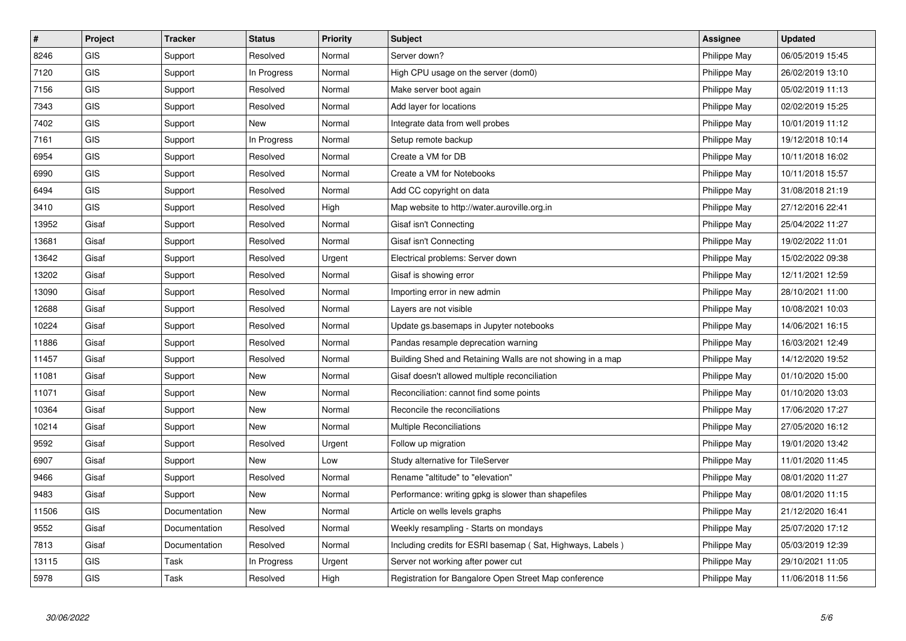| #     | Project    | <b>Tracker</b> | <b>Status</b> | <b>Priority</b> | <b>Subject</b>                                             | <b>Assignee</b> | <b>Updated</b>   |
|-------|------------|----------------|---------------|-----------------|------------------------------------------------------------|-----------------|------------------|
| 8246  | <b>GIS</b> | Support        | Resolved      | Normal          | Server down?                                               | Philippe May    | 06/05/2019 15:45 |
| 7120  | GIS        | Support        | In Progress   | Normal          | High CPU usage on the server (dom0)                        | Philippe May    | 26/02/2019 13:10 |
| 7156  | <b>GIS</b> | Support        | Resolved      | Normal          | Make server boot again                                     | Philippe May    | 05/02/2019 11:13 |
| 7343  | GIS        | Support        | Resolved      | Normal          | Add layer for locations                                    | Philippe May    | 02/02/2019 15:25 |
| 7402  | <b>GIS</b> | Support        | <b>New</b>    | Normal          | Integrate data from well probes                            | Philippe May    | 10/01/2019 11:12 |
| 7161  | GIS        | Support        | In Progress   | Normal          | Setup remote backup                                        | Philippe May    | 19/12/2018 10:14 |
| 6954  | GIS        | Support        | Resolved      | Normal          | Create a VM for DB                                         | Philippe May    | 10/11/2018 16:02 |
| 6990  | <b>GIS</b> | Support        | Resolved      | Normal          | Create a VM for Notebooks                                  | Philippe May    | 10/11/2018 15:57 |
| 6494  | GIS        | Support        | Resolved      | Normal          | Add CC copyright on data                                   | Philippe May    | 31/08/2018 21:19 |
| 3410  | GIS        | Support        | Resolved      | High            | Map website to http://water.auroville.org.in               | Philippe May    | 27/12/2016 22:41 |
| 13952 | Gisaf      | Support        | Resolved      | Normal          | Gisaf isn't Connecting                                     | Philippe May    | 25/04/2022 11:27 |
| 13681 | Gisaf      | Support        | Resolved      | Normal          | Gisaf isn't Connecting                                     | Philippe May    | 19/02/2022 11:01 |
| 13642 | Gisaf      | Support        | Resolved      | Urgent          | Electrical problems: Server down                           | Philippe May    | 15/02/2022 09:38 |
| 13202 | Gisaf      | Support        | Resolved      | Normal          | Gisaf is showing error                                     | Philippe May    | 12/11/2021 12:59 |
| 13090 | Gisaf      | Support        | Resolved      | Normal          | Importing error in new admin                               | Philippe May    | 28/10/2021 11:00 |
| 12688 | Gisaf      | Support        | Resolved      | Normal          | Layers are not visible                                     | Philippe May    | 10/08/2021 10:03 |
| 10224 | Gisaf      | Support        | Resolved      | Normal          | Update gs.basemaps in Jupyter notebooks                    | Philippe May    | 14/06/2021 16:15 |
| 11886 | Gisaf      | Support        | Resolved      | Normal          | Pandas resample deprecation warning                        | Philippe May    | 16/03/2021 12:49 |
| 11457 | Gisaf      | Support        | Resolved      | Normal          | Building Shed and Retaining Walls are not showing in a map | Philippe May    | 14/12/2020 19:52 |
| 11081 | Gisaf      | Support        | New           | Normal          | Gisaf doesn't allowed multiple reconciliation              | Philippe May    | 01/10/2020 15:00 |
| 11071 | Gisaf      | Support        | <b>New</b>    | Normal          | Reconciliation: cannot find some points                    | Philippe May    | 01/10/2020 13:03 |
| 10364 | Gisaf      | Support        | <b>New</b>    | Normal          | Reconcile the reconciliations                              | Philippe May    | 17/06/2020 17:27 |
| 10214 | Gisaf      | Support        | <b>New</b>    | Normal          | Multiple Reconciliations                                   | Philippe May    | 27/05/2020 16:12 |
| 9592  | Gisaf      | Support        | Resolved      | Urgent          | Follow up migration                                        | Philippe May    | 19/01/2020 13:42 |
| 6907  | Gisaf      | Support        | <b>New</b>    | Low             | Study alternative for TileServer                           | Philippe May    | 11/01/2020 11:45 |
| 9466  | Gisaf      | Support        | Resolved      | Normal          | Rename "altitude" to "elevation"                           | Philippe May    | 08/01/2020 11:27 |
| 9483  | Gisaf      | Support        | <b>New</b>    | Normal          | Performance: writing gpkg is slower than shapefiles        | Philippe May    | 08/01/2020 11:15 |
| 11506 | <b>GIS</b> | Documentation  | <b>New</b>    | Normal          | Article on wells levels graphs                             | Philippe May    | 21/12/2020 16:41 |
| 9552  | Gisaf      | Documentation  | Resolved      | Normal          | Weekly resampling - Starts on mondays                      | Philippe May    | 25/07/2020 17:12 |
| 7813  | Gisaf      | Documentation  | Resolved      | Normal          | Including credits for ESRI basemap (Sat, Highways, Labels) | Philippe May    | 05/03/2019 12:39 |
| 13115 | <b>GIS</b> | Task           | In Progress   | Urgent          | Server not working after power cut                         | Philippe May    | 29/10/2021 11:05 |
| 5978  | <b>GIS</b> | Task           | Resolved      | High            | Registration for Bangalore Open Street Map conference      | Philippe May    | 11/06/2018 11:56 |